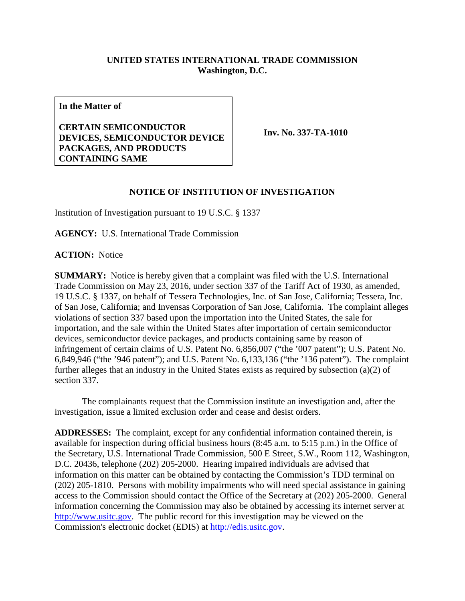## **UNITED STATES INTERNATIONAL TRADE COMMISSION Washington, D.C.**

**In the Matter of**

**CERTAIN SEMICONDUCTOR DEVICES, SEMICONDUCTOR DEVICE PACKAGES, AND PRODUCTS CONTAINING SAME**

**Inv. No. 337-TA-1010**

## **NOTICE OF INSTITUTION OF INVESTIGATION**

Institution of Investigation pursuant to 19 U.S.C. § 1337

**AGENCY:** U.S. International Trade Commission

**ACTION:** Notice

**SUMMARY:** Notice is hereby given that a complaint was filed with the U.S. International Trade Commission on May 23, 2016, under section 337 of the Tariff Act of 1930, as amended, 19 U.S.C. § 1337, on behalf of Tessera Technologies, Inc. of San Jose, California; Tessera, Inc. of San Jose, California; and Invensas Corporation of San Jose, California. The complaint alleges violations of section 337 based upon the importation into the United States, the sale for importation, and the sale within the United States after importation of certain semiconductor devices, semiconductor device packages, and products containing same by reason of infringement of certain claims of U.S. Patent No. 6,856,007 ("the '007 patent"); U.S. Patent No. 6,849,946 ("the '946 patent"); and U.S. Patent No. 6,133,136 ("the '136 patent"). The complaint further alleges that an industry in the United States exists as required by subsection (a)(2) of section 337.

The complainants request that the Commission institute an investigation and, after the investigation, issue a limited exclusion order and cease and desist orders.

**ADDRESSES:** The complaint, except for any confidential information contained therein, is available for inspection during official business hours (8:45 a.m. to 5:15 p.m.) in the Office of the Secretary, U.S. International Trade Commission, 500 E Street, S.W., Room 112, Washington, D.C. 20436, telephone (202) 205-2000. Hearing impaired individuals are advised that information on this matter can be obtained by contacting the Commission's TDD terminal on (202) 205-1810. Persons with mobility impairments who will need special assistance in gaining access to the Commission should contact the Office of the Secretary at (202) 205-2000. General information concerning the Commission may also be obtained by accessing its internet server at [http://www.usitc.gov.](http://www.usitc.gov/) The public record for this investigation may be viewed on the Commission's electronic docket (EDIS) at [http://edis.usitc.gov.](http://edis.usitc.gov/)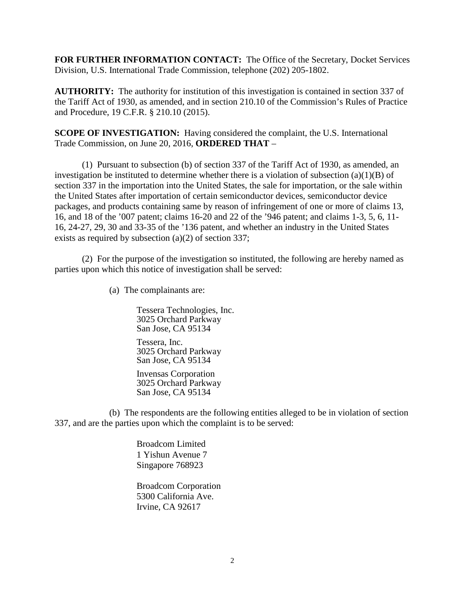**FOR FURTHER INFORMATION CONTACT:** The Office of the Secretary, Docket Services Division, U.S. International Trade Commission, telephone (202) 205-1802.

**AUTHORITY:** The authority for institution of this investigation is contained in section 337 of the Tariff Act of 1930, as amended, and in section 210.10 of the Commission's Rules of Practice and Procedure, 19 C.F.R. § 210.10 (2015).

**SCOPE OF INVESTIGATION:** Having considered the complaint, the U.S. International Trade Commission, on June 20, 2016, **ORDERED THAT** –

(1) Pursuant to subsection (b) of section 337 of the Tariff Act of 1930, as amended, an investigation be instituted to determine whether there is a violation of subsection (a)(1)(B) of section 337 in the importation into the United States, the sale for importation, or the sale within the United States after importation of certain semiconductor devices, semiconductor device packages, and products containing same by reason of infringement of one or more of claims 13, 16, and 18 of the '007 patent; claims 16-20 and 22 of the '946 patent; and claims 1-3, 5, 6, 11- 16, 24-27, 29, 30 and 33-35 of the '136 patent, and whether an industry in the United States exists as required by subsection (a)(2) of section 337;

(2) For the purpose of the investigation so instituted, the following are hereby named as parties upon which this notice of investigation shall be served:

(a) The complainants are:

Tessera Technologies, Inc. 3025 Orchard Parkway San Jose, CA 95134

Tessera, Inc. 3025 Orchard Parkway San Jose, CA 95134

Invensas Corporation 3025 Orchard Parkway San Jose, CA 95134

(b) The respondents are the following entities alleged to be in violation of section 337, and are the parties upon which the complaint is to be served:

> Broadcom Limited 1 Yishun Avenue 7 Singapore 768923

Broadcom Corporation 5300 California Ave. Irvine, CA 92617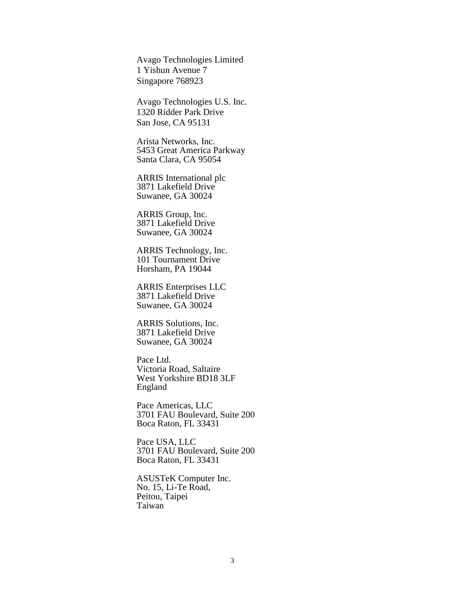Avago Technologies Limited 1 Yishun Avenue 7 Singapore 768923

Avago Technologies U.S. Inc. 1320 Ridder Park Drive San Jose, CA 95131

Arista Networks, Inc. 5453 Great America Parkway Santa Clara, CA 95054

ARRIS International plc 3871 Lakefield Drive Suwanee, GA 30024

ARRIS Group, Inc. 3871 Lakefield Drive Suwanee, GA 30024

ARRIS Technology, Inc. 101 Tournament Drive Horsham, PA 19044

ARRIS Enterprises LLC 3871 Lakefield Drive Suwanee, GA 30024

ARRIS Solutions, Inc. 3871 Lakefield Drive Suwanee, GA 30024

Pace Ltd. Victoria Road, Saltaire West Yorkshire BD18 3LF England

Pace Americas, LLC 3701 FAU Boulevard, Suite 200 Boca Raton, FL 33431

Pace USA, LLC 3701 FAU Boulevard, Suite 200 Boca Raton, FL 33431

ASUSTeK Computer Inc. No. 15, Li-Te Road, Peitou, Taipei Taiwan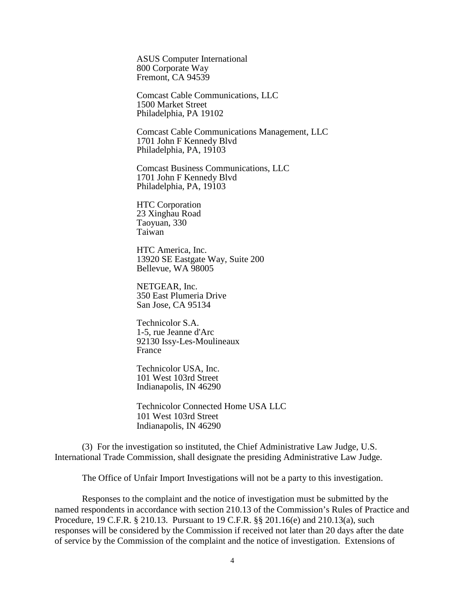ASUS Computer International 800 Corporate Way Fremont, CA 94539

Comcast Cable Communications, LLC 1500 Market Street Philadelphia, PA 19102

Comcast Cable Communications Management, LLC 1701 John F Kennedy Blvd Philadelphia, PA, 19103

Comcast Business Communications, LLC 1701 John F Kennedy Blvd Philadelphia, PA, 19103

HTC Corporation 23 Xinghau Road Taoyuan, 330 Taiwan

HTC America, Inc. 13920 SE Eastgate Way, Suite 200 Bellevue, WA 98005

NETGEAR, Inc. 350 East Plumeria Drive San Jose, CA 95134

Technicolor S.A. 1-5, rue Jeanne d'Arc 92130 Issy-Les-Moulineaux France

Technicolor USA, Inc. 101 West 103rd Street Indianapolis, IN 46290

Technicolor Connected Home USA LLC 101 West 103rd Street Indianapolis, IN 46290

(3) For the investigation so instituted, the Chief Administrative Law Judge, U.S. International Trade Commission, shall designate the presiding Administrative Law Judge.

The Office of Unfair Import Investigations will not be a party to this investigation.

Responses to the complaint and the notice of investigation must be submitted by the named respondents in accordance with section 210.13 of the Commission's Rules of Practice and Procedure, 19 C.F.R. § 210.13. Pursuant to 19 C.F.R. §§ 201.16(e) and 210.13(a), such responses will be considered by the Commission if received not later than 20 days after the date of service by the Commission of the complaint and the notice of investigation. Extensions of